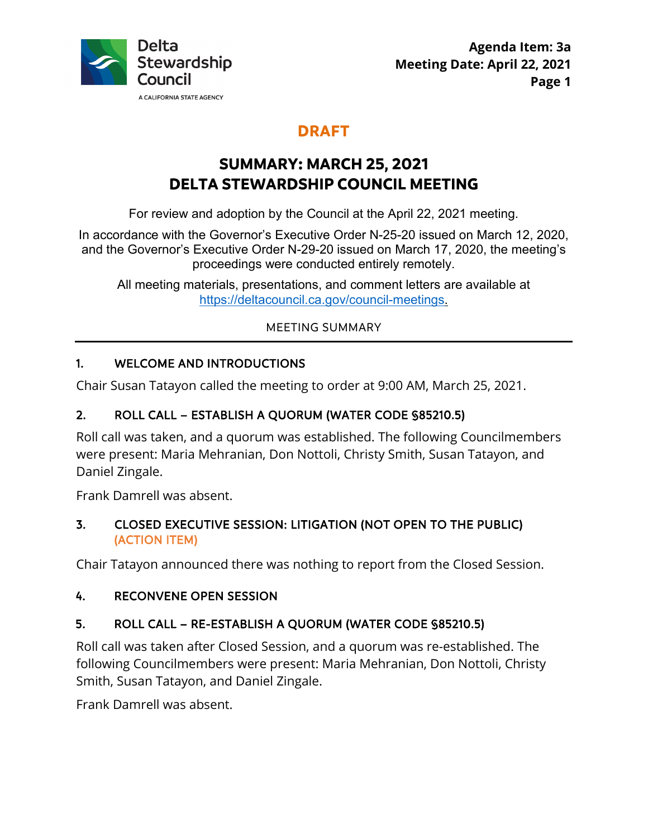

# **DRAFT**

# **SUMMARY: MARCH 25, 2021 DELTA STEWARDSHIP COUNCIL MEETING**

For review and adoption by the Council at the April 22, 2021 meeting.

In accordance with the Governor's Executive Order N-25-20 issued on March 12, 2020, and the Governor's Executive Order N-29-20 issued on March 17, 2020, the meeting's proceedings were conducted entirely remotely.

All meeting materials, presentations, and comment letters are available at <https://deltacouncil.ca.gov/council-meetings>.

MEETING SUMMARY

# 1. WELCOME AND INTRODUCTIONS

Chair Susan Tatayon called the meeting to order at 9:00 AM, March 25, 2021.

# 2. ROLL CALL – ESTABLISH A QUORUM (WATER CODE §85210.5)

 were present: Maria Mehranian, Don Nottoli, Christy Smith, Susan Tatayon, and Roll call was taken, and a quorum was established. The following Councilmembers Daniel Zingale.

Frank Damrell was absent.

# 3. CLOSED EXECUTIVE SESSION: LITIGATION (NOT OPEN TO THE PUBLIC) (ACTION ITEM)

Chair Tatayon announced there was nothing to report from the Closed Session.

# 4. RECONVENE OPEN SESSION

# 5. ROLL CALL – RE-ESTABLISH A QUORUM (WATER CODE §85210.5)

Roll call was taken after Closed Session, and a quorum was re-established. The following Councilmembers were present: Maria Mehranian, Don Nottoli, Christy Smith, Susan Tatayon, and Daniel Zingale.

Frank Damrell was absent.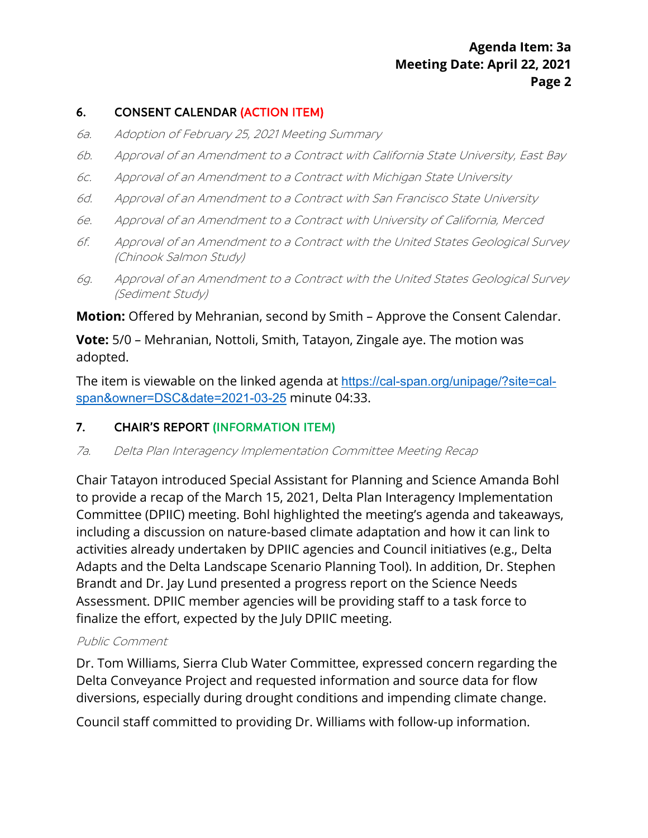# **Agenda Item: 3a Agenda Item: 3a Meeting Date: April 22, 2021 Page 2**

#### 6. CONSENT CALENDAR (ACTION ITEM)

- 6a. Adoption of February 25, 2021 Meeting Summary
- 6b. Approval of an Amendment to a Contract with California State University, East Bay
- 6c. Approval of an Amendment to a Contract with Michigan State University
- 6d. Approval of an Amendment to a Contract with San Francisco State University
- 6e. Approval of an Amendment to a Contract with University of California, Merced
- 6f. Approval of an Amendment to a Contract with the United States Geological Survey (Chinook Salmon Study)
- 6g. Approval of an Amendment to a Contract with the United States Geological Survey (Sediment Study)

**Motion:** Offered by Mehranian, second by Smith – Approve the Consent Calendar.

 **Vote:** 5/0 – Mehranian, Nottoli, Smith, Tatayon, Zingale aye. The motion was adopted.

The item is viewable on the linked agenda at <https://cal-span.org/unipage/?site=cal>span&owner=DSC&date=2021-03-25 minute 04:33.

#### 7. CHAIR'S REPORT (INFORMATION ITEM)

7a. Delta Plan Interagency Implementation Committee Meeting Recap

 Brandt and Dr. Jay Lund presented a progress report on the Science Needs Chair Tatayon introduced Special Assistant for Planning and Science Amanda Bohl to provide a recap of the March 15, 2021, Delta Plan Interagency Implementation Committee (DPIIC) meeting. Bohl highlighted the meeting's agenda and takeaways, including a discussion on nature-based climate adaptation and how it can link to activities already undertaken by DPIIC agencies and Council initiatives (e.g., Delta Adapts and the Delta Landscape Scenario Planning Tool). In addition, Dr. Stephen Assessment. DPIIC member agencies will be providing staff to a task force to finalize the effort, expected by the July DPIIC meeting.

#### Public Comment

 diversions, especially during drought conditions and impending climate change. Dr. Tom Williams, Sierra Club Water Committee, expressed concern regarding the Delta Conveyance Project and requested information and source data for flow

Council staff committed to providing Dr. Williams with follow-up information.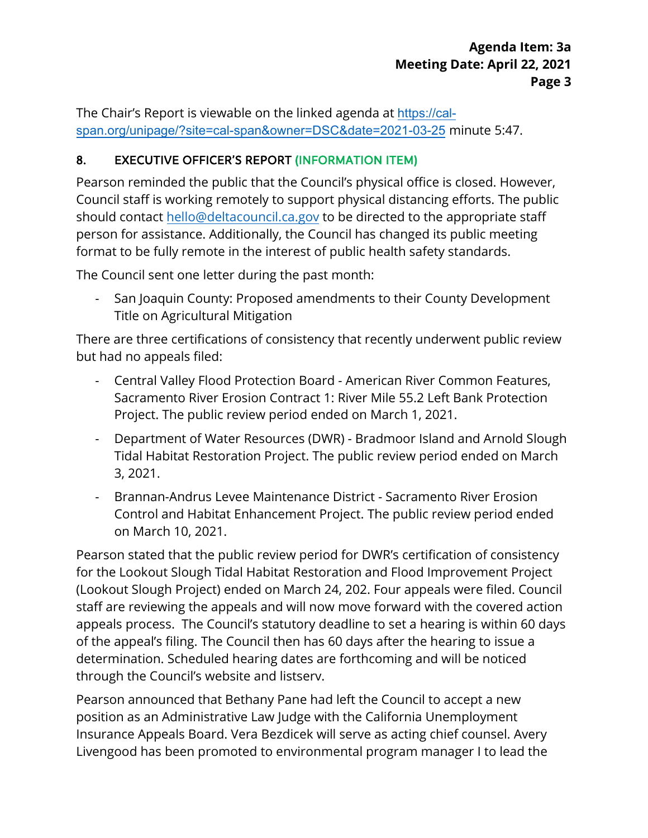The Chair's Report is viewable on the linked agenda at <https://cal>span.org/unipage/?site=cal-span&owner=DSC&date=2021-03-25 minute 5:47.

# 8. EXECUTIVE OFFICER'S REPORT (INFORMATION ITEM)

 format to be fully remote in the interest of public health safety standards. Pearson reminded the public that the Council's physical office is closed. However, Council staff is working remotely to support physical distancing efforts. The public should contact [hello@deltacouncil.ca.gov](mailto:hello@deltacouncil.ca.gov) to be directed to the appropriate staff person for assistance. Additionally, the Council has changed its public meeting

The Council sent one letter during the past month:

- San Joaquin County: Proposed amendments to their County Development Title on Agricultural Mitigation

There are three certifications of consistency that recently underwent public review but had no appeals filed:

- - Central Valley Flood Protection Board American River Common Features, Sacramento River Erosion Contract 1: River Mile 55.2 Left Bank Protection Project. The public review period ended on March 1, 2021.
- - Department of Water Resources (DWR) Bradmoor Island and Arnold Slough Tidal Habitat Restoration Project. The public review period ended on March 3, 2021.
- Brannan-Andrus Levee Maintenance District Sacramento River Erosion Control and Habitat Enhancement Project. The public review period ended on March 10, 2021.

 staff are reviewing the appeals and will now move forward with the covered action of the appeal's filing. The Council then has 60 days after the hearing to issue a Pearson stated that the public review period for DWR's certification of consistency for the Lookout Slough Tidal Habitat Restoration and Flood Improvement Project (Lookout Slough Project) ended on March 24, 202. Four appeals were filed. Council appeals process. The Council's statutory deadline to set a hearing is within 60 days determination. Scheduled hearing dates are forthcoming and will be noticed through the Council's website and listserv.

Pearson announced that Bethany Pane had left the Council to accept a new position as an Administrative Law Judge with the California Unemployment Insurance Appeals Board. Vera Bezdicek will serve as acting chief counsel. Avery Livengood has been promoted to environmental program manager I to lead the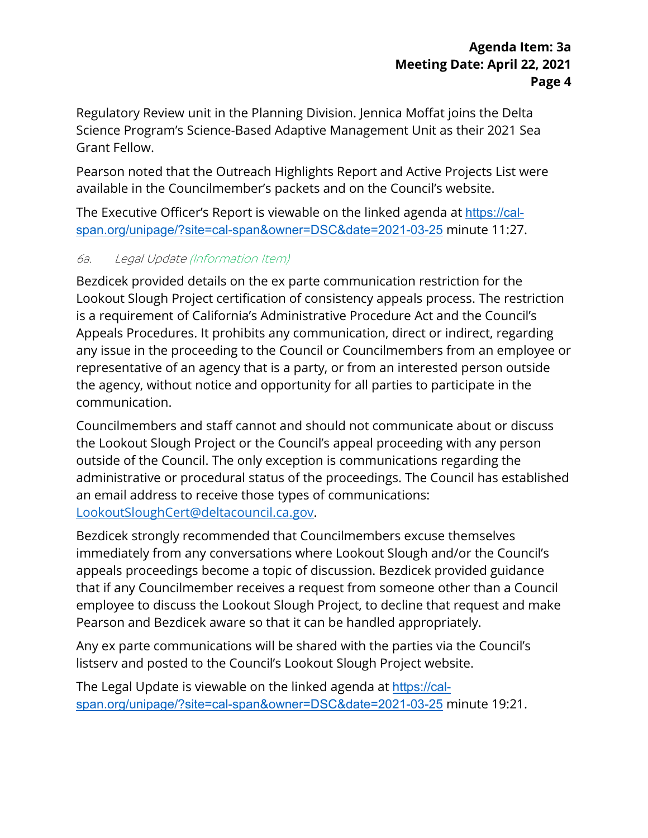Regulatory Review unit in the Planning Division. Jennica Moffat joins the Delta Science Program's Science-Based Adaptive Management Unit as their 2021 Sea Grant Fellow.

Pearson noted that the Outreach Highlights Report and Active Projects List were available in the Councilmember's packets and on the Council's website.

The Executive Officer's Report is viewable on the linked agenda at <u><https://cal>-</u> span.org/unipage/?site=cal-span&owner=DSC&date=2021-03-25 minute 11:27.

# 6a. Legal Update (Information Item)

Bezdicek provided details on the ex parte communication restriction for the Lookout Slough Project certification of consistency appeals process. The restriction is a requirement of California's Administrative Procedure Act and the Council's Appeals Procedures. It prohibits any communication, direct or indirect, regarding any issue in the proceeding to the Council or Councilmembers from an employee or representative of an agency that is a party, or from an interested person outside the agency, without notice and opportunity for all parties to participate in the communication.

 Councilmembers and staff cannot and should not communicate about or discuss administrative or procedural status of the proceedings. The Council has established an email address to receive those types of communications: the Lookout Slough Project or the Council's appeal proceeding with any person outside of the Council. The only exception is communications regarding the [LookoutSloughCert@deltacouncil.ca.gov.](mailto:LookoutSloughCert@deltacouncil.ca.gov)

 that if any Councilmember receives a request from someone other than a Council Bezdicek strongly recommended that Councilmembers excuse themselves immediately from any conversations where Lookout Slough and/or the Council's appeals proceedings become a topic of discussion. Bezdicek provided guidance employee to discuss the Lookout Slough Project, to decline that request and make Pearson and Bezdicek aware so that it can be handled appropriately.

Any ex parte communications will be shared with the parties via the Council's listserv and posted to the Council's Lookout Slough Project website.

The Legal Update is viewable on the linked agenda at <https://cal>span.org/unipage/?site=cal-span&owner=DSC&date=2021-03-25 minute 19:21.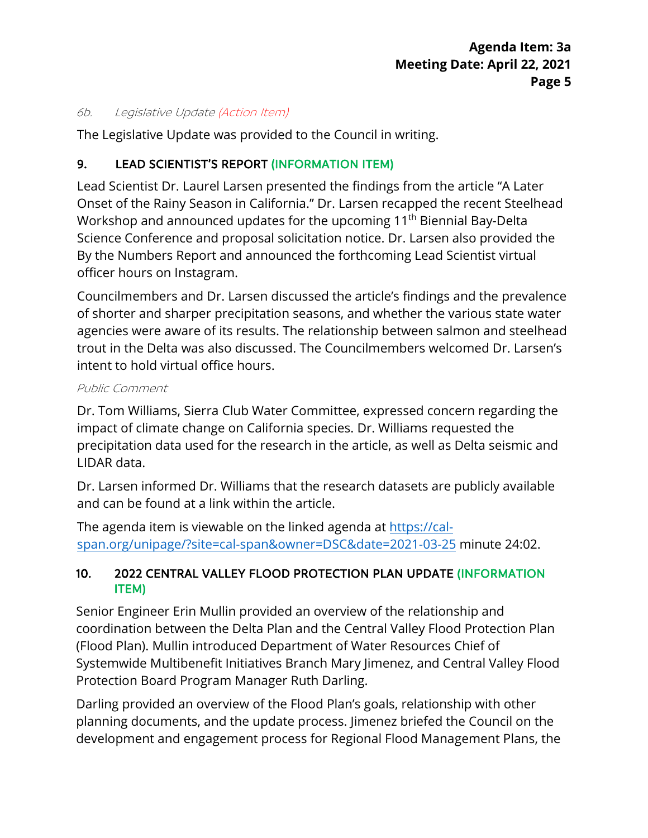#### 6b. Legislative Update (Action Item)

The Legislative Update was provided to the Council in writing.

### 9. LEAD SCIENTIST'S REPORT (INFORMATION ITEM)

Lead Scientist Dr. Laurel Larsen presented the findings from the article "A Later Onset of the Rainy Season in California." Dr. Larsen recapped the recent Steelhead Workshop and announced updates for the upcoming 11<sup>th</sup> Biennial Bay-Delta Science Conference and proposal solicitation notice. Dr. Larsen also provided the By the Numbers Report and announced the forthcoming Lead Scientist virtual officer hours on Instagram.

 Councilmembers and Dr. Larsen discussed the article's findings and the prevalence of shorter and sharper precipitation seasons, and whether the various state water agencies were aware of its results. The relationship between salmon and steelhead trout in the Delta was also discussed. The Councilmembers welcomed Dr. Larsen's intent to hold virtual office hours.

#### Public Comment

Dr. Tom Williams, Sierra Club Water Committee, expressed concern regarding the impact of climate change on California species. Dr. Williams requested the precipitation data used for the research in the article, as well as Delta seismic and LIDAR data.

Dr. Larsen informed Dr. Williams that the research datasets are publicly available and can be found at a link within the article.

The agenda item is viewable on the linked agenda at<https://cal>span.org/unipage/?site=cal-span&owner=DSC&date=2021-03-25 minute 24:02.

# 10. 2022 CENTRAL VALLEY FLOOD PROTECTION PLAN UPDATE (INFORMATION ITEM)

Senior Engineer Erin Mullin provided an overview of the relationship and coordination between the Delta Plan and the Central Valley Flood Protection Plan (Flood Plan). Mullin introduced Department of Water Resources Chief of Systemwide Multibenefit Initiatives Branch Mary Jimenez, and Central Valley Flood Protection Board Program Manager Ruth Darling.

Darling provided an overview of the Flood Plan's goals, relationship with other planning documents, and the update process. Jimenez briefed the Council on the development and engagement process for Regional Flood Management Plans, the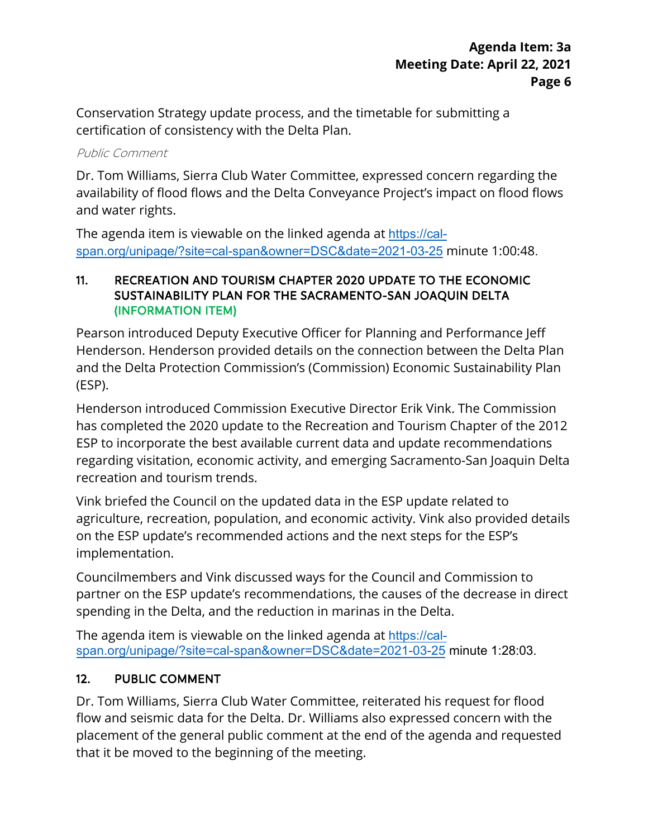Conservation Strategy update process, and the timetable for submitting a certification of consistency with the Delta Plan.

#### Public Comment

Dr. Tom Williams, Sierra Club Water Committee, expressed concern regarding the availability of flood flows and the Delta Conveyance Project's impact on flood flows and water rights.

 [span.org/unipage/?site=cal-span&owner=DSC&date=2021-03-25](https://cal-span.org/unipage/?site=cal-span&owner=DSC&date=2021-03-25) minute 1:00:48. The agenda item is viewable on the linked agenda at [https://cal-](https://cal-span.org/unipage/?site=cal-span&owner=DSC&date=2021-03-25)

#### 11. RECREATION AND TOURISM CHAPTER 2020 UPDATE TO THE ECONOMIC SUSTAINABILITY PLAN FOR THE SACRAMENTO-SAN JOAQUIN DELTA (INFORMATION ITEM)

Pearson introduced Deputy Executive Officer for Planning and Performance Jeff Henderson. Henderson provided details on the connection between the Delta Plan and the Delta Protection Commission's (Commission) Economic Sustainability Plan (ESP).

 has completed the 2020 update to the Recreation and Tourism Chapter of the 2012 Henderson introduced Commission Executive Director Erik Vink. The Commission ESP to incorporate the best available current data and update recommendations regarding visitation, economic activity, and emerging Sacramento-San Joaquin Delta recreation and tourism trends.

 on the ESP update's recommended actions and the next steps for the ESP's Vink briefed the Council on the updated data in the ESP update related to agriculture, recreation, population, and economic activity. Vink also provided details implementation.

Councilmembers and Vink discussed ways for the Council and Commission to partner on the ESP update's recommendations, the causes of the decrease in direct spending in the Delta, and the reduction in marinas in the Delta.

The agenda item is viewable on the linked agenda at [https://cal](https://cal-span.org/unipage/?site=cal-span&owner=DSC&date=2021-03-25)[span.org/unipage/?site=cal-span&owner=DSC&date=2021-03-25](https://cal-span.org/unipage/?site=cal-span&owner=DSC&date=2021-03-25) minute 1:28:03.

# 12. PUBLIC COMMENT

Dr. Tom Williams, Sierra Club Water Committee, reiterated his request for flood flow and seismic data for the Delta. Dr. Williams also expressed concern with the placement of the general public comment at the end of the agenda and requested that it be moved to the beginning of the meeting.